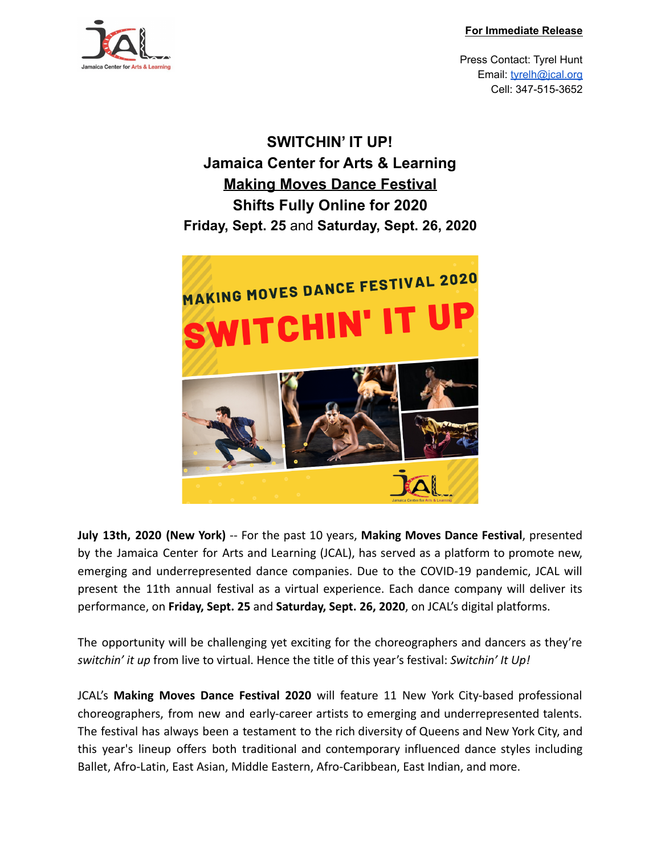

Press Contact: Tyrel Hunt Email: [tyrelh@jcal.org](mailto:tyrelh@jcal.org) Cell: 347-515-3652

**SWITCHIN' IT UP! Jamaica Center for Arts & Learning Making Moves Dance Festival Shifts Fully Online for 2020 Friday, Sept. 25** and **Saturday, Sept. 26, 2020**



**July 13th, 2020 (New York)** -- For the past 10 years, **Making Moves Dance Festival**, presented by the Jamaica Center for Arts and Learning (JCAL), has served as a platform to promote new, emerging and underrepresented dance companies. Due to the COVID-19 pandemic, JCAL will present the 11th annual festival as a virtual experience. Each dance company will deliver its performance, on **Friday, Sept. 25** and **Saturday, Sept. 26, 2020**, on JCAL's digital platforms.

The opportunity will be challenging yet exciting for the choreographers and dancers as they're *switchin' it up* from live to virtual. Hence the title of this year's festival: *Switchin' It Up!*

JCAL's **Making Moves Dance Festival 2020** will feature 11 New York City-based professional choreographers, from new and early-career artists to emerging and underrepresented talents. The festival has always been a testament to the rich diversity of Queens and New York City, and this year's lineup offers both traditional and contemporary influenced dance styles including Ballet, Afro-Latin, East Asian, Middle Eastern, Afro-Caribbean, East Indian, and more.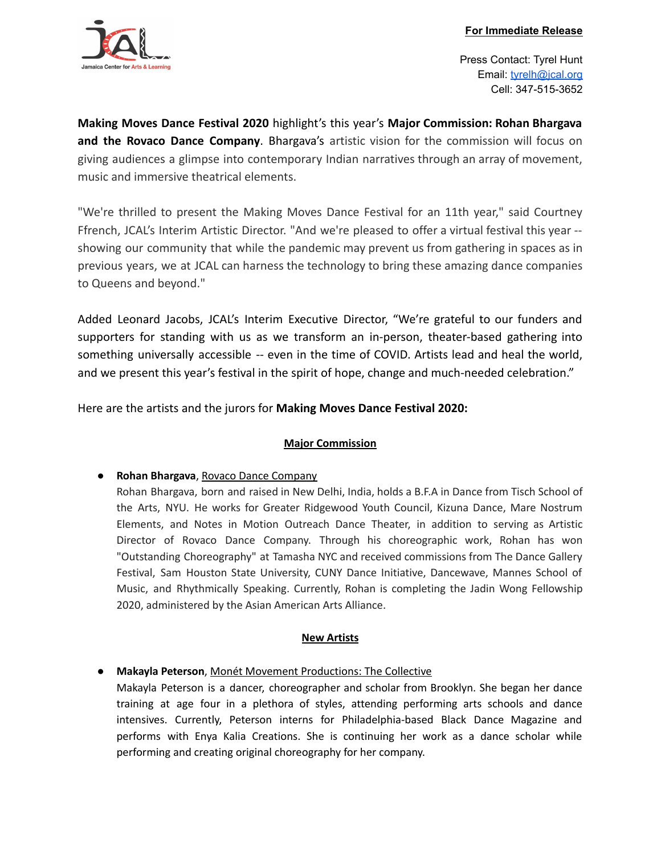

Press Contact: Tyrel Hunt Email: [tyrelh@jcal.org](mailto:tyrelh@jcal.org) Cell: 347-515-3652

**Making Moves Dance Festival 2020** highlight's this year's **Major Commission: Rohan Bhargava and the Rovaco Dance Company**. Bhargava's artistic vision for the commission will focus on giving audiences a glimpse into contemporary Indian narratives through an array of movement, music and immersive theatrical elements.

"We're thrilled to present the Making Moves Dance Festival for an 11th year," said Courtney Ffrench, JCAL's Interim Artistic Director. "And we're pleased to offer a virtual festival this year - showing our community that while the pandemic may prevent us from gathering in spaces as in previous years, we at JCAL can harness the technology to bring these amazing dance companies to Queens and beyond."

Added Leonard Jacobs, JCAL's Interim Executive Director, "We're grateful to our funders and supporters for standing with us as we transform an in-person, theater-based gathering into something universally accessible -- even in the time of COVID. Artists lead and heal the world, and we present this year's festival in the spirit of hope, change and much-needed celebration."

Here are the artists and the jurors for **Making Moves Dance Festival 2020:**

# **Major Commission**

● **Rohan Bhargava**, Rovaco Dance Company

Rohan Bhargava, born and raised in New Delhi, India, holds a B.F.A in Dance from Tisch School of the Arts, NYU. He works for Greater Ridgewood Youth Council, Kizuna Dance, Mare Nostrum Elements, and Notes in Motion Outreach Dance Theater, in addition to serving as Artistic Director of Rovaco Dance Company. Through his choreographic work, Rohan has won "Outstanding Choreography" at Tamasha NYC and received commissions from The Dance Gallery Festival, Sam Houston State University, CUNY Dance Initiative, Dancewave, Mannes School of Music, and Rhythmically Speaking. Currently, Rohan is completing the Jadin Wong Fellowship 2020, administered by the Asian American Arts Alliance.

# **New Artists**

● **Makayla Peterson**, Monét Movement Productions: The Collective

Makayla Peterson is a dancer, choreographer and scholar from Brooklyn. She began her dance training at age four in a plethora of styles, attending performing arts schools and dance intensives. Currently, Peterson interns for Philadelphia-based Black Dance Magazine and performs with Enya Kalia Creations. She is continuing her work as a dance scholar while performing and creating original choreography for her company.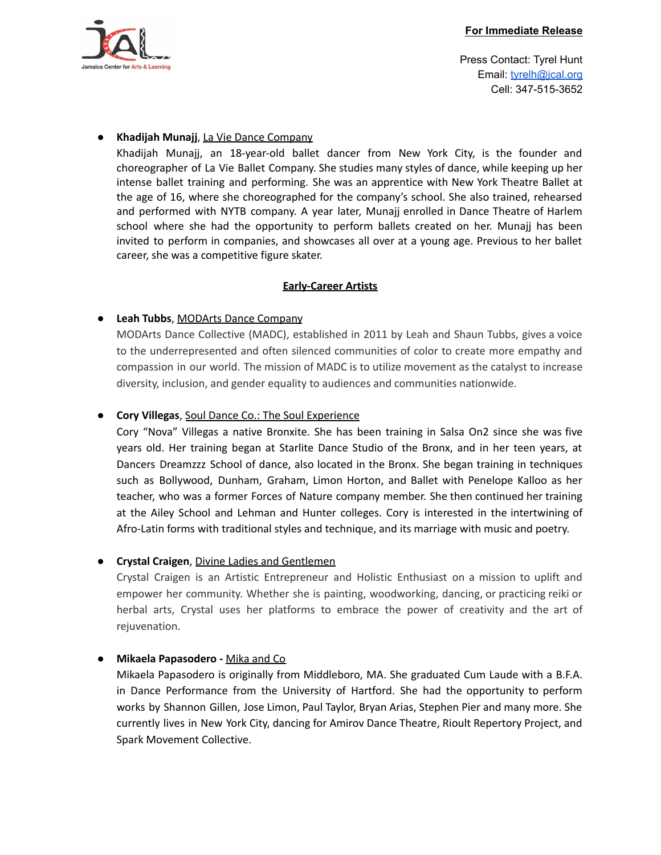

Press Contact: Tyrel Hunt Email: [tyrelh@jcal.org](mailto:tyrelh@jcal.org) Cell: 347-515-3652

## ● **Khadijah Munajj**, La Vie Dance Company

Khadijah Munajj, an 18-year-old ballet dancer from New York City, is the founder and choreographer of La Vie Ballet Company. She studies many styles of dance, while keeping up her intense ballet training and performing. She was an apprentice with New York Theatre Ballet at the age of 16, where she choreographed for the company's school. She also trained, rehearsed and performed with NYTB company. A year later, Munajj enrolled in Dance Theatre of Harlem school where she had the opportunity to perform ballets created on her. Munajj has been invited to perform in companies, and showcases all over at a young age. Previous to her ballet career, she was a competitive figure skater.

### **Early-Career Artists**

## ● **Leah Tubbs**, MODArts Dance Company

MODArts Dance Collective (MADC), established in 2011 by Leah and Shaun Tubbs, gives a voice to the underrepresented and often silenced communities of color to create more empathy and compassion in our world. The mission of MADC is to utilize movement as the catalyst to increase diversity, inclusion, and gender equality to audiences and communities nationwide.

## ● **Cory Villegas**, Soul Dance Co.: The Soul Experience

Cory "Nova" Villegas a native Bronxite. She has been training in Salsa On2 since she was five years old. Her training began at Starlite Dance Studio of the Bronx, and in her teen years, at Dancers Dreamzzz School of dance, also located in the Bronx. She began training in techniques such as Bollywood, Dunham, Graham, Limon Horton, and Ballet with Penelope Kalloo as her teacher, who was a former Forces of Nature company member. She then continued her training at the Ailey School and Lehman and Hunter colleges. Cory is interested in the intertwining of Afro-Latin forms with traditional styles and technique, and its marriage with music and poetry.

### ● **Crystal Craigen**, Divine Ladies and Gentlemen

Crystal Craigen is an Artistic Entrepreneur and Holistic Enthusiast on a mission to uplift and empower her community. Whether she is painting, woodworking, dancing, or practicing reiki or herbal arts, Crystal uses her platforms to embrace the power of creativity and the art of rejuvenation.

### ● **Mikaela Papasodero -** Mika and Co

Mikaela Papasodero is originally from Middleboro, MA. She graduated Cum Laude with a B.F.A. in Dance Performance from the University of Hartford. She had the opportunity to perform works by Shannon Gillen, Jose Limon, Paul Taylor, Bryan Arias, Stephen Pier and many more. She currently lives in New York City, dancing for Amirov Dance Theatre, Rioult Repertory Project, and Spark Movement Collective.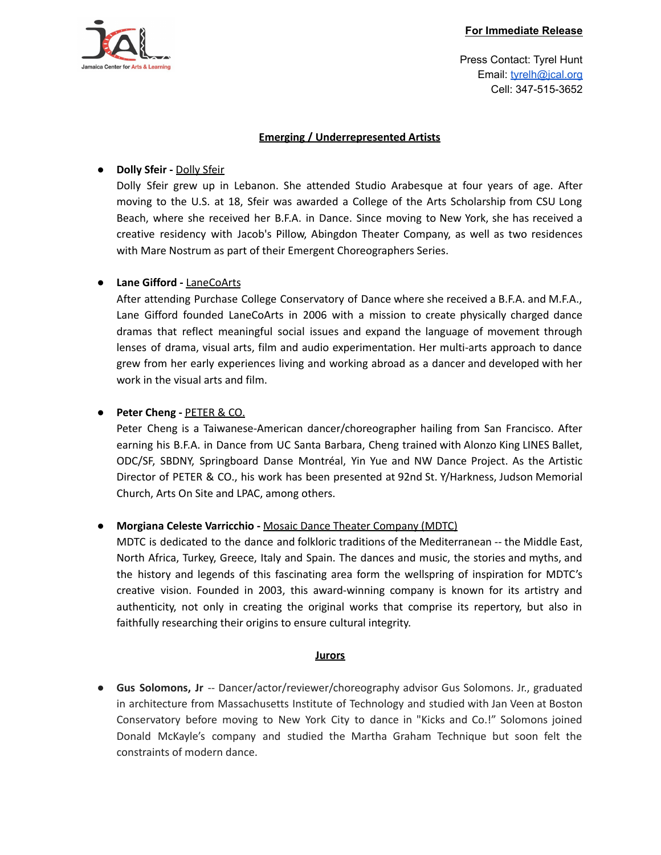

#### **For Immediate Release**

Press Contact: Tyrel Hunt Email: [tyrelh@jcal.org](mailto:tyrelh@jcal.org) Cell: 347-515-3652

### **Emerging / Underrepresented Artists**

# ● **Dolly Sfeir -** Dolly Sfeir

Dolly Sfeir grew up in Lebanon. She attended Studio Arabesque at four years of age. After moving to the U.S. at 18, Sfeir was awarded a College of the Arts Scholarship from CSU Long Beach, where she received her B.F.A. in Dance. Since moving to New York, she has received a creative residency with Jacob's Pillow, Abingdon Theater Company, as well as two residences with Mare Nostrum as part of their Emergent Choreographers Series.

# ● **Lane Gifford -** LaneCoArts

After attending Purchase College Conservatory of Dance where she received a B.F.A. and M.F.A., Lane Gifford founded LaneCoArts in 2006 with a mission to create physically charged dance dramas that reflect meaningful social issues and expand the language of movement through lenses of drama, visual arts, film and audio experimentation. Her multi-arts approach to dance grew from her early experiences living and working abroad as a dancer and developed with her work in the visual arts and film.

# ● **Peter Cheng -** PETER & CO.

Peter Cheng is a Taiwanese-American dancer/choreographer hailing from San Francisco. After earning his B.F.A. in Dance from UC Santa Barbara, Cheng trained with Alonzo King LINES Ballet, ODC/SF, SBDNY, Springboard Danse Montréal, Yin Yue and NW Dance Project. As the Artistic Director of PETER & CO., his work has been presented at 92nd St. Y/Harkness, Judson Memorial Church, Arts On Site and LPAC, among others.

# ● **Morgiana Celeste Varricchio -** Mosaic Dance Theater Company (MDTC)

MDTC is dedicated to the dance and folkloric traditions of the Mediterranean -- the Middle East, North Africa, Turkey, Greece, Italy and Spain. The dances and music, the stories and myths, and the history and legends of this fascinating area form the wellspring of inspiration for MDTC's creative vision. Founded in 2003, this award-winning company is known for its artistry and authenticity, not only in creating the original works that comprise its repertory, but also in faithfully researching their origins to ensure cultural integrity.

### **Jurors**

**● Gus Solomons, Jr** -- Dancer/actor/reviewer/choreography advisor Gus Solomons. Jr., graduated in architecture from Massachusetts Institute of Technology and studied with Jan Veen at Boston Conservatory before moving to New York City to dance in "Kicks and Co.!" Solomons joined Donald McKayle's company and studied the Martha Graham Technique but soon felt the constraints of modern dance.